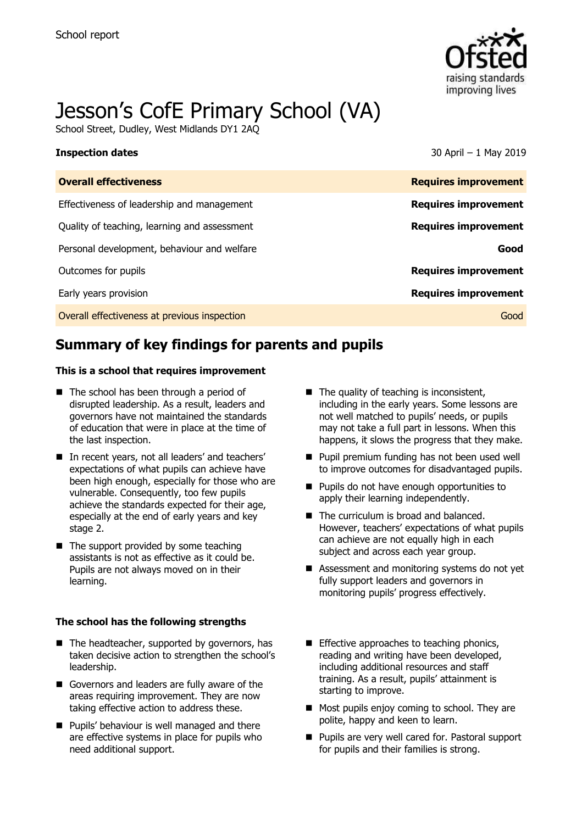

# Jesson's CofE Primary School (VA)

School Street, Dudley, West Midlands DY1 2AQ

**Inspection dates** 30 April – 1 May 2019

| <b>Overall effectiveness</b>                 | <b>Requires improvement</b> |
|----------------------------------------------|-----------------------------|
| Effectiveness of leadership and management   | <b>Requires improvement</b> |
| Quality of teaching, learning and assessment | <b>Requires improvement</b> |
| Personal development, behaviour and welfare  | Good                        |
| Outcomes for pupils                          | <b>Requires improvement</b> |
| Early years provision                        | <b>Requires improvement</b> |
| Overall effectiveness at previous inspection | Good                        |
|                                              |                             |

# **Summary of key findings for parents and pupils**

### **This is a school that requires improvement**

- The school has been through a period of disrupted leadership. As a result, leaders and governors have not maintained the standards of education that were in place at the time of the last inspection.
- In recent years, not all leaders' and teachers' expectations of what pupils can achieve have been high enough, especially for those who are vulnerable. Consequently, too few pupils achieve the standards expected for their age, especially at the end of early years and key stage 2.
- $\blacksquare$  The support provided by some teaching assistants is not as effective as it could be. Pupils are not always moved on in their learning.

### **The school has the following strengths**

- $\blacksquare$  The headteacher, supported by governors, has taken decisive action to strengthen the school's leadership.
- Governors and leaders are fully aware of the areas requiring improvement. They are now taking effective action to address these.
- **Pupils' behaviour is well managed and there** are effective systems in place for pupils who need additional support.
- $\blacksquare$  The quality of teaching is inconsistent, including in the early years. Some lessons are not well matched to pupils' needs, or pupils may not take a full part in lessons. When this happens, it slows the progress that they make.
- **Pupil premium funding has not been used well** to improve outcomes for disadvantaged pupils.
- **Pupils do not have enough opportunities to** apply their learning independently.
- The curriculum is broad and balanced. However, teachers' expectations of what pupils can achieve are not equally high in each subject and across each year group.
- Assessment and monitoring systems do not yet fully support leaders and governors in monitoring pupils' progress effectively.
- **Effective approaches to teaching phonics,** reading and writing have been developed, including additional resources and staff training. As a result, pupils' attainment is starting to improve.
- Most pupils enjoy coming to school. They are polite, happy and keen to learn.
- **Pupils are very well cared for. Pastoral support** for pupils and their families is strong.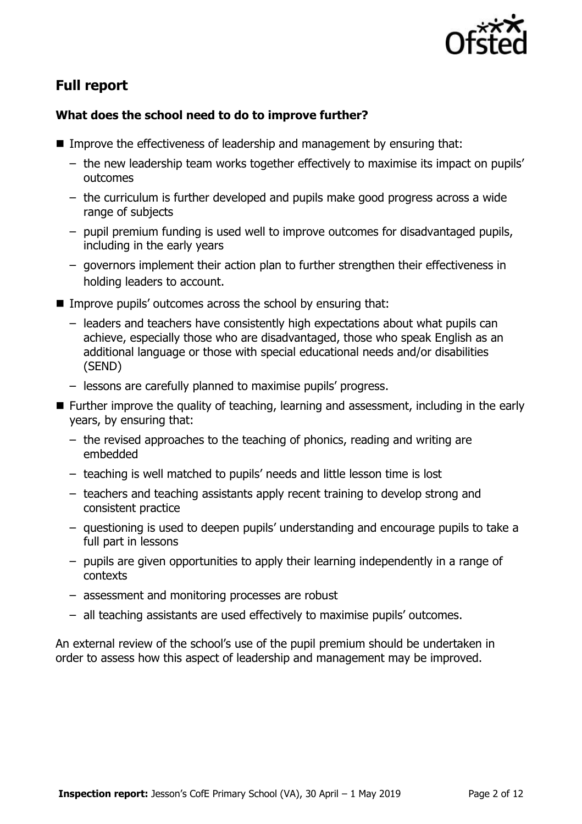

# **Full report**

### **What does the school need to do to improve further?**

- Improve the effectiveness of leadership and management by ensuring that:
	- the new leadership team works together effectively to maximise its impact on pupils' outcomes
	- the curriculum is further developed and pupils make good progress across a wide range of subjects
	- pupil premium funding is used well to improve outcomes for disadvantaged pupils, including in the early years
	- governors implement their action plan to further strengthen their effectiveness in holding leaders to account.
- Improve pupils' outcomes across the school by ensuring that:
	- leaders and teachers have consistently high expectations about what pupils can achieve, especially those who are disadvantaged, those who speak English as an additional language or those with special educational needs and/or disabilities (SEND)
	- lessons are carefully planned to maximise pupils' progress.
- Further improve the quality of teaching, learning and assessment, including in the early years, by ensuring that:
	- the revised approaches to the teaching of phonics, reading and writing are embedded
	- teaching is well matched to pupils' needs and little lesson time is lost
	- teachers and teaching assistants apply recent training to develop strong and consistent practice
	- questioning is used to deepen pupils' understanding and encourage pupils to take a full part in lessons
	- pupils are given opportunities to apply their learning independently in a range of contexts
	- assessment and monitoring processes are robust
	- all teaching assistants are used effectively to maximise pupils' outcomes.

An external review of the school's use of the pupil premium should be undertaken in order to assess how this aspect of leadership and management may be improved.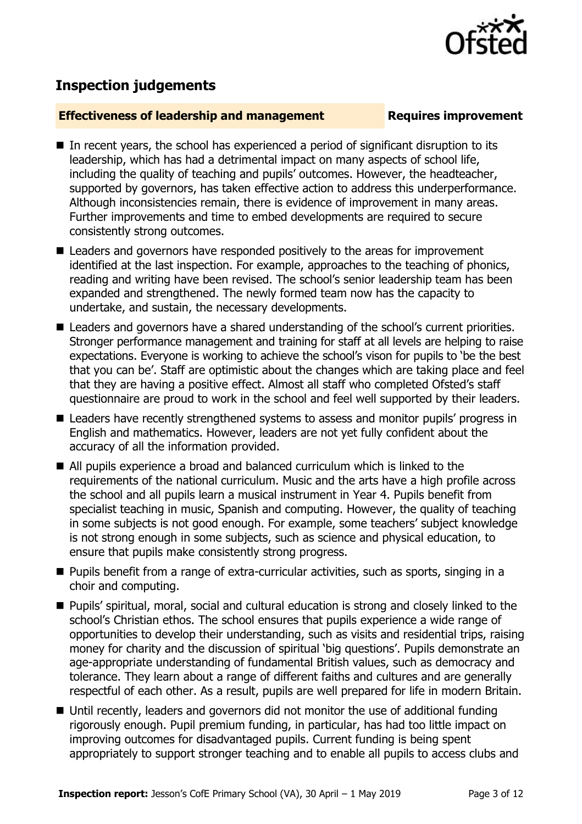

# **Inspection judgements**

### **Effectiveness of leadership and management Requires improvement**

- In recent years, the school has experienced a period of significant disruption to its leadership, which has had a detrimental impact on many aspects of school life, including the quality of teaching and pupils' outcomes. However, the headteacher, supported by governors, has taken effective action to address this underperformance. Although inconsistencies remain, there is evidence of improvement in many areas. Further improvements and time to embed developments are required to secure consistently strong outcomes.
- Leaders and governors have responded positively to the areas for improvement identified at the last inspection. For example, approaches to the teaching of phonics, reading and writing have been revised. The school's senior leadership team has been expanded and strengthened. The newly formed team now has the capacity to undertake, and sustain, the necessary developments.
- Leaders and governors have a shared understanding of the school's current priorities. Stronger performance management and training for staff at all levels are helping to raise expectations. Everyone is working to achieve the school's vison for pupils to 'be the best that you can be'. Staff are optimistic about the changes which are taking place and feel that they are having a positive effect. Almost all staff who completed Ofsted's staff questionnaire are proud to work in the school and feel well supported by their leaders.
- Leaders have recently strengthened systems to assess and monitor pupils' progress in English and mathematics. However, leaders are not yet fully confident about the accuracy of all the information provided.
- All pupils experience a broad and balanced curriculum which is linked to the requirements of the national curriculum. Music and the arts have a high profile across the school and all pupils learn a musical instrument in Year 4. Pupils benefit from specialist teaching in music, Spanish and computing. However, the quality of teaching in some subjects is not good enough. For example, some teachers' subject knowledge is not strong enough in some subjects, such as science and physical education, to ensure that pupils make consistently strong progress.
- **Pupils benefit from a range of extra-curricular activities, such as sports, singing in a** choir and computing.
- Pupils' spiritual, moral, social and cultural education is strong and closely linked to the school's Christian ethos. The school ensures that pupils experience a wide range of opportunities to develop their understanding, such as visits and residential trips, raising money for charity and the discussion of spiritual 'big questions'. Pupils demonstrate an age-appropriate understanding of fundamental British values, such as democracy and tolerance. They learn about a range of different faiths and cultures and are generally respectful of each other. As a result, pupils are well prepared for life in modern Britain.
- Until recently, leaders and governors did not monitor the use of additional funding rigorously enough. Pupil premium funding, in particular, has had too little impact on improving outcomes for disadvantaged pupils. Current funding is being spent appropriately to support stronger teaching and to enable all pupils to access clubs and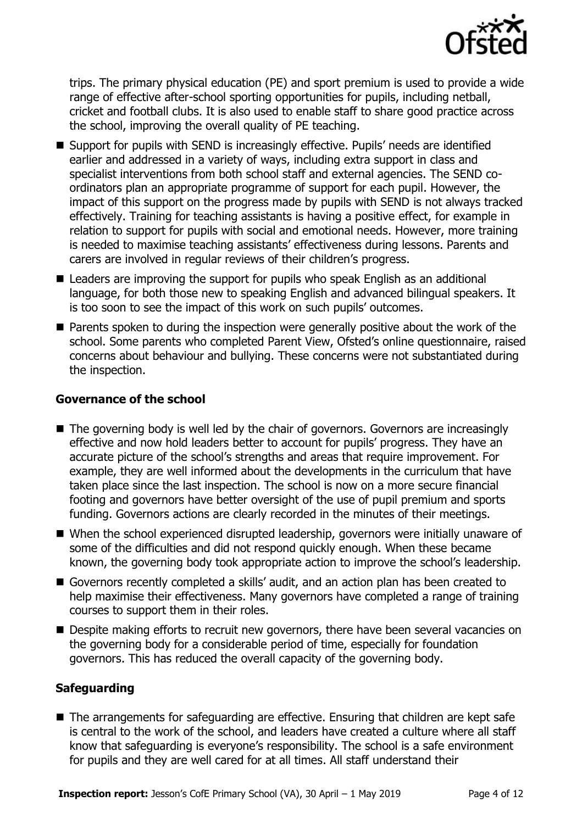

trips. The primary physical education (PE) and sport premium is used to provide a wide range of effective after-school sporting opportunities for pupils, including netball, cricket and football clubs. It is also used to enable staff to share good practice across the school, improving the overall quality of PE teaching.

- Support for pupils with SEND is increasingly effective. Pupils' needs are identified earlier and addressed in a variety of ways, including extra support in class and specialist interventions from both school staff and external agencies. The SEND coordinators plan an appropriate programme of support for each pupil. However, the impact of this support on the progress made by pupils with SEND is not always tracked effectively. Training for teaching assistants is having a positive effect, for example in relation to support for pupils with social and emotional needs. However, more training is needed to maximise teaching assistants' effectiveness during lessons. Parents and carers are involved in regular reviews of their children's progress.
- Leaders are improving the support for pupils who speak English as an additional language, for both those new to speaking English and advanced bilingual speakers. It is too soon to see the impact of this work on such pupils' outcomes.
- **Parents spoken to during the inspection were generally positive about the work of the** school. Some parents who completed Parent View, Ofsted's online questionnaire, raised concerns about behaviour and bullying. These concerns were not substantiated during the inspection.

### **Governance of the school**

- The governing body is well led by the chair of governors. Governors are increasingly effective and now hold leaders better to account for pupils' progress. They have an accurate picture of the school's strengths and areas that require improvement. For example, they are well informed about the developments in the curriculum that have taken place since the last inspection. The school is now on a more secure financial footing and governors have better oversight of the use of pupil premium and sports funding. Governors actions are clearly recorded in the minutes of their meetings.
- When the school experienced disrupted leadership, governors were initially unaware of some of the difficulties and did not respond quickly enough. When these became known, the governing body took appropriate action to improve the school's leadership.
- Governors recently completed a skills' audit, and an action plan has been created to help maximise their effectiveness. Many governors have completed a range of training courses to support them in their roles.
- **Despite making efforts to recruit new governors, there have been several vacancies on** the governing body for a considerable period of time, especially for foundation governors. This has reduced the overall capacity of the governing body.

### **Safeguarding**

■ The arrangements for safeguarding are effective. Ensuring that children are kept safe is central to the work of the school, and leaders have created a culture where all staff know that safeguarding is everyone's responsibility. The school is a safe environment for pupils and they are well cared for at all times. All staff understand their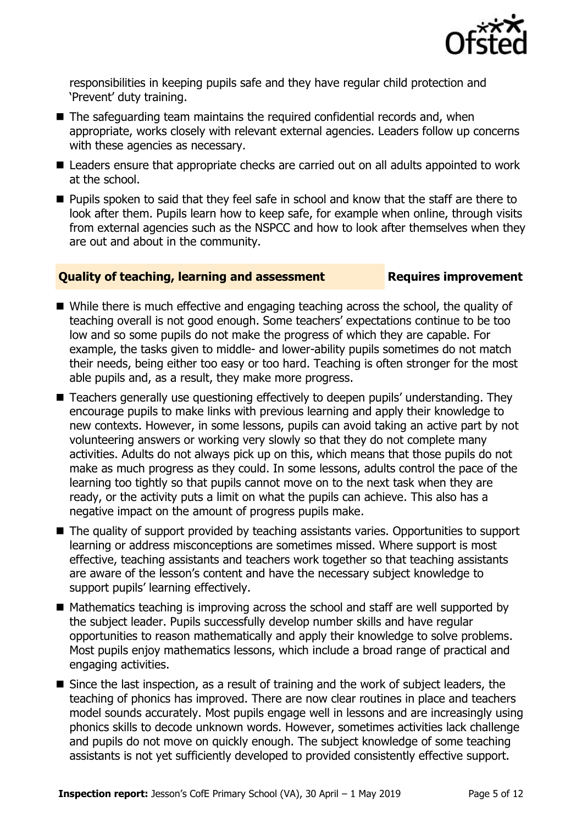

responsibilities in keeping pupils safe and they have regular child protection and 'Prevent' duty training.

- $\blacksquare$  The safeguarding team maintains the required confidential records and, when appropriate, works closely with relevant external agencies. Leaders follow up concerns with these agencies as necessary.
- Leaders ensure that appropriate checks are carried out on all adults appointed to work at the school.
- **Pupils spoken to said that they feel safe in school and know that the staff are there to** look after them. Pupils learn how to keep safe, for example when online, through visits from external agencies such as the NSPCC and how to look after themselves when they are out and about in the community.

### **Quality of teaching, learning and assessment Requires improvement**

- While there is much effective and engaging teaching across the school, the quality of teaching overall is not good enough. Some teachers' expectations continue to be too low and so some pupils do not make the progress of which they are capable. For example, the tasks given to middle- and lower-ability pupils sometimes do not match their needs, being either too easy or too hard. Teaching is often stronger for the most able pupils and, as a result, they make more progress.
- Teachers generally use questioning effectively to deepen pupils' understanding. They encourage pupils to make links with previous learning and apply their knowledge to new contexts. However, in some lessons, pupils can avoid taking an active part by not volunteering answers or working very slowly so that they do not complete many activities. Adults do not always pick up on this, which means that those pupils do not make as much progress as they could. In some lessons, adults control the pace of the learning too tightly so that pupils cannot move on to the next task when they are ready, or the activity puts a limit on what the pupils can achieve. This also has a negative impact on the amount of progress pupils make.
- The quality of support provided by teaching assistants varies. Opportunities to support learning or address misconceptions are sometimes missed. Where support is most effective, teaching assistants and teachers work together so that teaching assistants are aware of the lesson's content and have the necessary subject knowledge to support pupils' learning effectively.
- Mathematics teaching is improving across the school and staff are well supported by the subject leader. Pupils successfully develop number skills and have regular opportunities to reason mathematically and apply their knowledge to solve problems. Most pupils enjoy mathematics lessons, which include a broad range of practical and engaging activities.
- Since the last inspection, as a result of training and the work of subject leaders, the teaching of phonics has improved. There are now clear routines in place and teachers model sounds accurately. Most pupils engage well in lessons and are increasingly using phonics skills to decode unknown words. However, sometimes activities lack challenge and pupils do not move on quickly enough. The subject knowledge of some teaching assistants is not yet sufficiently developed to provided consistently effective support.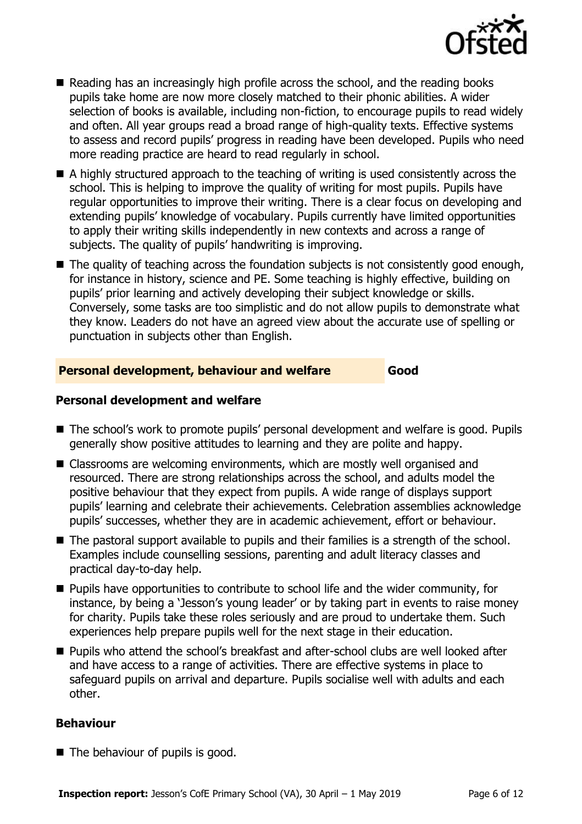

- Reading has an increasingly high profile across the school, and the reading books pupils take home are now more closely matched to their phonic abilities. A wider selection of books is available, including non-fiction, to encourage pupils to read widely and often. All year groups read a broad range of high-quality texts. Effective systems to assess and record pupils' progress in reading have been developed. Pupils who need more reading practice are heard to read regularly in school.
- A highly structured approach to the teaching of writing is used consistently across the school. This is helping to improve the quality of writing for most pupils. Pupils have regular opportunities to improve their writing. There is a clear focus on developing and extending pupils' knowledge of vocabulary. Pupils currently have limited opportunities to apply their writing skills independently in new contexts and across a range of subjects. The quality of pupils' handwriting is improving.
- The quality of teaching across the foundation subjects is not consistently good enough, for instance in history, science and PE. Some teaching is highly effective, building on pupils' prior learning and actively developing their subject knowledge or skills. Conversely, some tasks are too simplistic and do not allow pupils to demonstrate what they know. Leaders do not have an agreed view about the accurate use of spelling or punctuation in subjects other than English.

### **Personal development, behaviour and welfare Good**

### **Personal development and welfare**

- The school's work to promote pupils' personal development and welfare is good. Pupils generally show positive attitudes to learning and they are polite and happy.
- Classrooms are welcoming environments, which are mostly well organised and resourced. There are strong relationships across the school, and adults model the positive behaviour that they expect from pupils. A wide range of displays support pupils' learning and celebrate their achievements. Celebration assemblies acknowledge pupils' successes, whether they are in academic achievement, effort or behaviour.
- The pastoral support available to pupils and their families is a strength of the school. Examples include counselling sessions, parenting and adult literacy classes and practical day-to-day help.
- **Pupils have opportunities to contribute to school life and the wider community, for** instance, by being a 'Jesson's young leader' or by taking part in events to raise money for charity. Pupils take these roles seriously and are proud to undertake them. Such experiences help prepare pupils well for the next stage in their education.
- **Pupils who attend the school's breakfast and after-school clubs are well looked after** and have access to a range of activities. There are effective systems in place to safeguard pupils on arrival and departure. Pupils socialise well with adults and each other.

### **Behaviour**

■ The behaviour of pupils is good.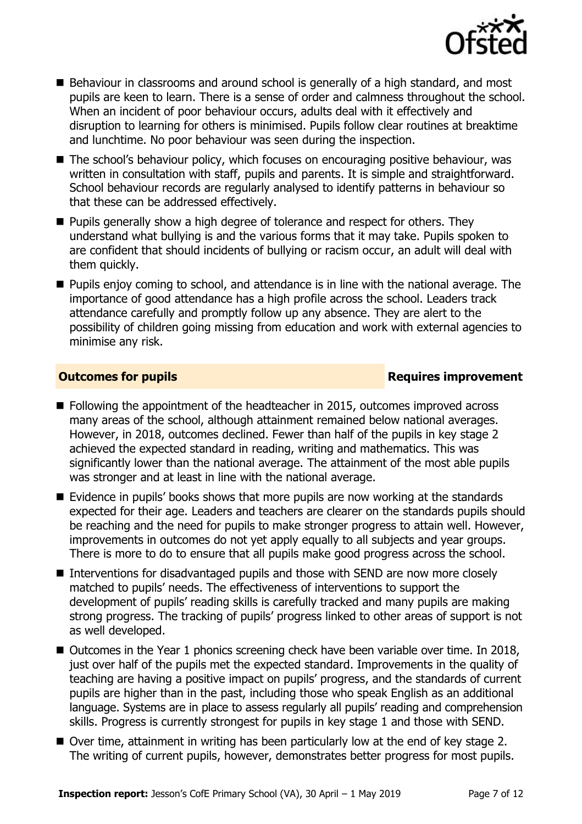

- Behaviour in classrooms and around school is generally of a high standard, and most pupils are keen to learn. There is a sense of order and calmness throughout the school. When an incident of poor behaviour occurs, adults deal with it effectively and disruption to learning for others is minimised. Pupils follow clear routines at breaktime and lunchtime. No poor behaviour was seen during the inspection.
- The school's behaviour policy, which focuses on encouraging positive behaviour, was written in consultation with staff, pupils and parents. It is simple and straightforward. School behaviour records are regularly analysed to identify patterns in behaviour so that these can be addressed effectively.
- **Pupils generally show a high degree of tolerance and respect for others. They** understand what bullying is and the various forms that it may take. Pupils spoken to are confident that should incidents of bullying or racism occur, an adult will deal with them quickly.
- **Pupils enjoy coming to school, and attendance is in line with the national average. The** importance of good attendance has a high profile across the school. Leaders track attendance carefully and promptly follow up any absence. They are alert to the possibility of children going missing from education and work with external agencies to minimise any risk.

### **Outcomes for pupils Requires improvement**

- Following the appointment of the headteacher in 2015, outcomes improved across many areas of the school, although attainment remained below national averages. However, in 2018, outcomes declined. Fewer than half of the pupils in key stage 2 achieved the expected standard in reading, writing and mathematics. This was significantly lower than the national average. The attainment of the most able pupils was stronger and at least in line with the national average.
- Evidence in pupils' books shows that more pupils are now working at the standards expected for their age. Leaders and teachers are clearer on the standards pupils should be reaching and the need for pupils to make stronger progress to attain well. However, improvements in outcomes do not yet apply equally to all subjects and year groups. There is more to do to ensure that all pupils make good progress across the school.
- Interventions for disadvantaged pupils and those with SEND are now more closely matched to pupils' needs. The effectiveness of interventions to support the development of pupils' reading skills is carefully tracked and many pupils are making strong progress. The tracking of pupils' progress linked to other areas of support is not as well developed.
- Outcomes in the Year 1 phonics screening check have been variable over time. In 2018, just over half of the pupils met the expected standard. Improvements in the quality of teaching are having a positive impact on pupils' progress, and the standards of current pupils are higher than in the past, including those who speak English as an additional language. Systems are in place to assess regularly all pupils' reading and comprehension skills. Progress is currently strongest for pupils in key stage 1 and those with SEND.
- Over time, attainment in writing has been particularly low at the end of key stage 2. The writing of current pupils, however, demonstrates better progress for most pupils.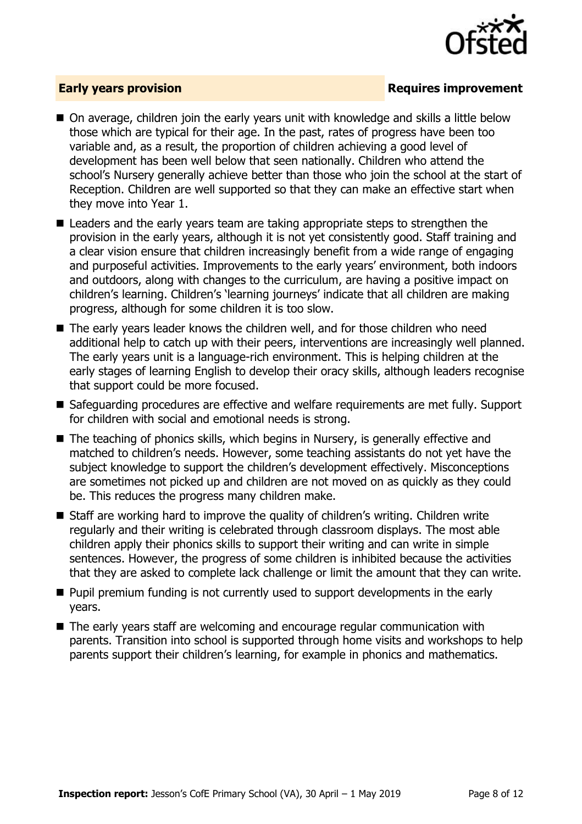

### **Early years provision**

- On average, children join the early years unit with knowledge and skills a little below those which are typical for their age. In the past, rates of progress have been too variable and, as a result, the proportion of children achieving a good level of development has been well below that seen nationally. Children who attend the school's Nursery generally achieve better than those who join the school at the start of Reception. Children are well supported so that they can make an effective start when they move into Year 1.
- Leaders and the early years team are taking appropriate steps to strengthen the provision in the early years, although it is not yet consistently good. Staff training and a clear vision ensure that children increasingly benefit from a wide range of engaging and purposeful activities. Improvements to the early years' environment, both indoors and outdoors, along with changes to the curriculum, are having a positive impact on children's learning. Children's 'learning journeys' indicate that all children are making progress, although for some children it is too slow.
- The early years leader knows the children well, and for those children who need additional help to catch up with their peers, interventions are increasingly well planned. The early years unit is a language-rich environment. This is helping children at the early stages of learning English to develop their oracy skills, although leaders recognise that support could be more focused.
- Safeguarding procedures are effective and welfare requirements are met fully. Support for children with social and emotional needs is strong.
- The teaching of phonics skills, which begins in Nursery, is generally effective and matched to children's needs. However, some teaching assistants do not yet have the subject knowledge to support the children's development effectively. Misconceptions are sometimes not picked up and children are not moved on as quickly as they could be. This reduces the progress many children make.
- Staff are working hard to improve the quality of children's writing. Children write regularly and their writing is celebrated through classroom displays. The most able children apply their phonics skills to support their writing and can write in simple sentences. However, the progress of some children is inhibited because the activities that they are asked to complete lack challenge or limit the amount that they can write.
- **Pupil premium funding is not currently used to support developments in the early** years.
- The early years staff are welcoming and encourage regular communication with parents. Transition into school is supported through home visits and workshops to help parents support their children's learning, for example in phonics and mathematics.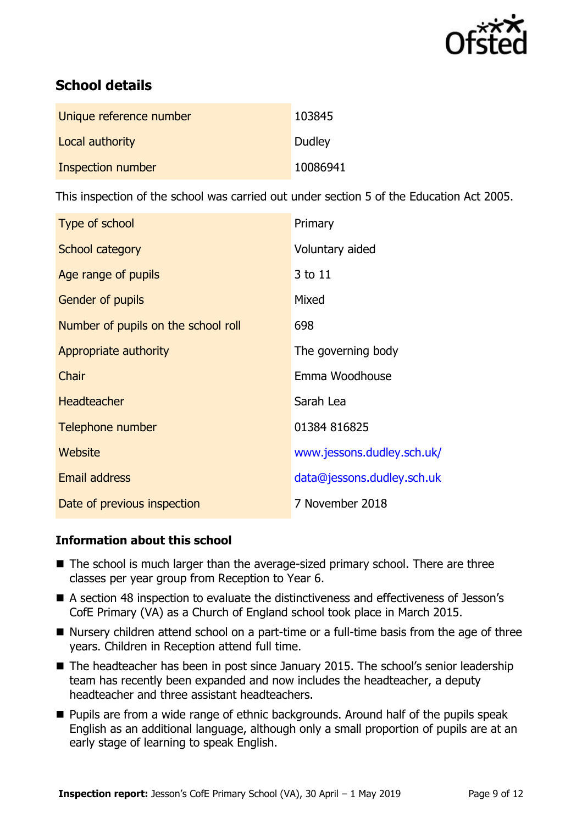

# **School details**

| Unique reference number  | 103845   |
|--------------------------|----------|
| Local authority          | Dudley   |
| <b>Inspection number</b> | 10086941 |

This inspection of the school was carried out under section 5 of the Education Act 2005.

| Type of school                      | Primary                    |
|-------------------------------------|----------------------------|
| School category                     | Voluntary aided            |
| Age range of pupils                 | 3 to 11                    |
| <b>Gender of pupils</b>             | Mixed                      |
| Number of pupils on the school roll | 698                        |
| Appropriate authority               | The governing body         |
| Chair                               | Emma Woodhouse             |
| <b>Headteacher</b>                  | Sarah Lea                  |
| Telephone number                    | 01384 816825               |
| Website                             | www.jessons.dudley.sch.uk/ |
| <b>Email address</b>                | data@jessons.dudley.sch.uk |
| Date of previous inspection         | 7 November 2018            |

### **Information about this school**

- The school is much larger than the average-sized primary school. There are three classes per year group from Reception to Year 6.
- A section 48 inspection to evaluate the distinctiveness and effectiveness of Jesson's CofE Primary (VA) as a Church of England school took place in March 2015.
- Nursery children attend school on a part-time or a full-time basis from the age of three years. Children in Reception attend full time.
- The headteacher has been in post since January 2015. The school's senior leadership team has recently been expanded and now includes the headteacher, a deputy headteacher and three assistant headteachers.
- **Pupils are from a wide range of ethnic backgrounds. Around half of the pupils speak** English as an additional language, although only a small proportion of pupils are at an early stage of learning to speak English.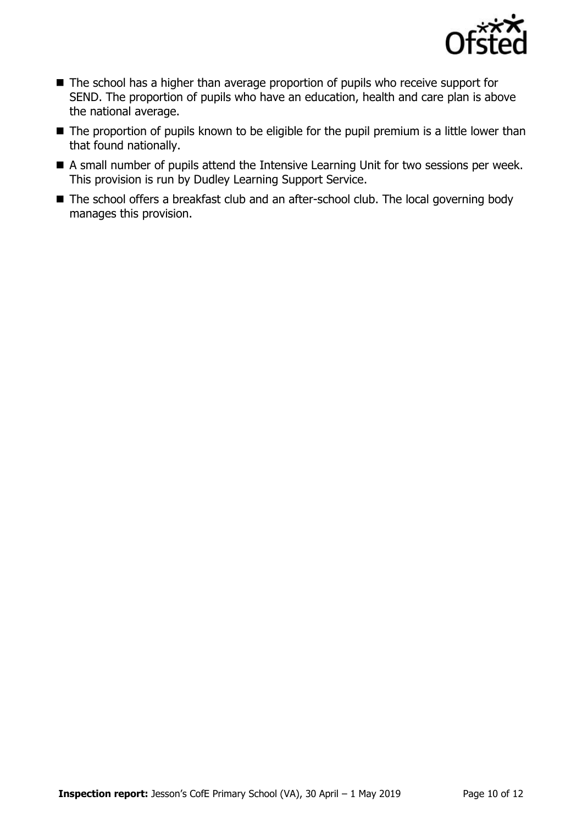

- The school has a higher than average proportion of pupils who receive support for SEND. The proportion of pupils who have an education, health and care plan is above the national average.
- The proportion of pupils known to be eligible for the pupil premium is a little lower than that found nationally.
- A small number of pupils attend the Intensive Learning Unit for two sessions per week. This provision is run by Dudley Learning Support Service.
- The school offers a breakfast club and an after-school club. The local governing body manages this provision.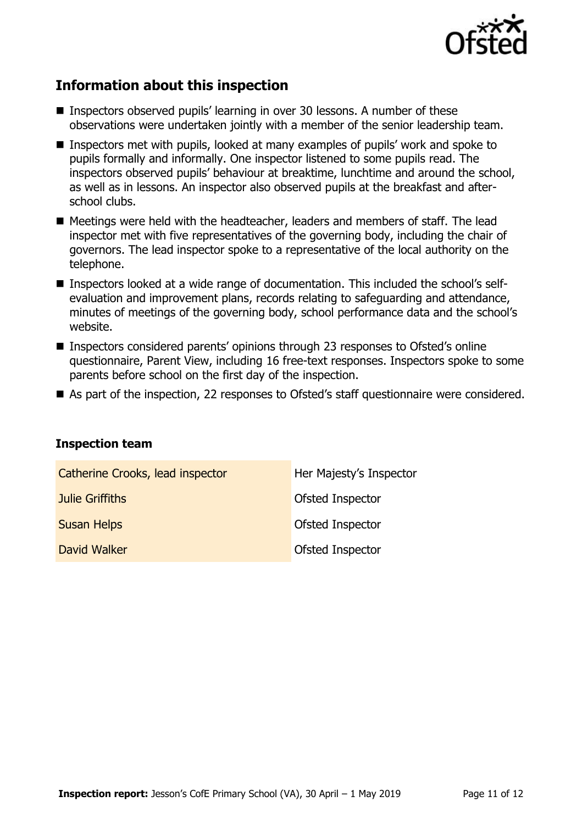

# **Information about this inspection**

- Inspectors observed pupils' learning in over 30 lessons. A number of these observations were undertaken jointly with a member of the senior leadership team.
- Inspectors met with pupils, looked at many examples of pupils' work and spoke to pupils formally and informally. One inspector listened to some pupils read. The inspectors observed pupils' behaviour at breaktime, lunchtime and around the school, as well as in lessons. An inspector also observed pupils at the breakfast and afterschool clubs.
- Meetings were held with the headteacher, leaders and members of staff. The lead inspector met with five representatives of the governing body, including the chair of governors. The lead inspector spoke to a representative of the local authority on the telephone.
- Inspectors looked at a wide range of documentation. This included the school's selfevaluation and improvement plans, records relating to safeguarding and attendance, minutes of meetings of the governing body, school performance data and the school's website.
- Inspectors considered parents' opinions through 23 responses to Ofsted's online questionnaire, Parent View, including 16 free-text responses. Inspectors spoke to some parents before school on the first day of the inspection.
- As part of the inspection, 22 responses to Ofsted's staff questionnaire were considered.

| <b>Inspection team</b> |  |
|------------------------|--|
|------------------------|--|

| Catherine Crooks, lead inspector | Her Majesty's Inspector |
|----------------------------------|-------------------------|
| Julie Griffiths                  | Ofsted Inspector        |
| <b>Susan Helps</b>               | Ofsted Inspector        |
| David Walker                     | Ofsted Inspector        |